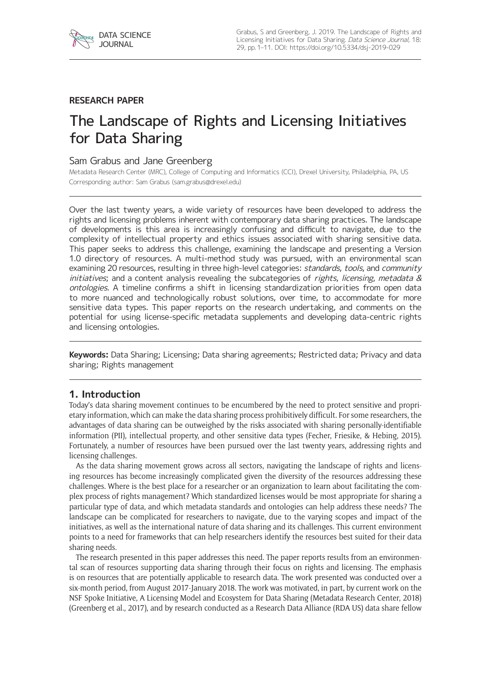

# **RESEARCH PAPER**

# The Landscape of Rights and Licensing Initiatives for Data Sharing

# Sam Grabus and Jane Greenberg

Metadata Research Center (MRC), College of Computing and Informatics (CCI), Drexel University, Philadelphia, PA, US Corresponding author: Sam Grabus [\(sam.grabus@drexel.edu](mailto:sam.grabus@drexel.edu))

Over the last twenty years, a wide variety of resources have been developed to address the rights and licensing problems inherent with contemporary data sharing practices. The landscape of developments is this area is increasingly confusing and difficult to navigate, due to the complexity of intellectual property and ethics issues associated with sharing sensitive data. This paper seeks to address this challenge, examining the landscape and presenting a Version 1.0 directory of resources. A multi-method study was pursued, with an environmental scan examining 20 resources, resulting in three high-level categories: *standards, tools*, and *community*  $initiations;$  and a content analysis revealing the subcategories of rights, licensing, metadata  $\&$ ontologies. A timeline confirms a shift in licensing standardization priorities from open data to more nuanced and technologically robust solutions, over time, to accommodate for more sensitive data types. This paper reports on the research undertaking, and comments on the potential for using license-specific metadata supplements and developing data-centric rights and licensing ontologies.

**Keywords:** Data Sharing; Licensing; Data sharing agreements; Restricted data; Privacy and data sharing; Rights management

# **1. Introduction**

Today's data sharing movement continues to be encumbered by the need to protect sensitive and proprietary information, which can make the data sharing process prohibitively difficult. For some researchers, the advantages of data sharing can be outweighed by the risks associated with sharing personally-identifiable information (PII), intellectual property, and other sensitive data types (Fecher, Friesike, & Hebing, 2015). Fortunately, a number of resources have been pursued over the last twenty years, addressing rights and licensing challenges.

As the data sharing movement grows across all sectors, navigating the landscape of rights and licensing resources has become increasingly complicated given the diversity of the resources addressing these challenges. Where is the best place for a researcher or an organization to learn about facilitating the complex process of rights management? Which standardized licenses would be most appropriate for sharing a particular type of data, and which metadata standards and ontologies can help address these needs? The landscape can be complicated for researchers to navigate, due to the varying scopes and impact of the initiatives, as well as the international nature of data sharing and its challenges. This current environment points to a need for frameworks that can help researchers identify the resources best suited for their data sharing needs.

The research presented in this paper addresses this need. The paper reports results from an environmental scan of resources supporting data sharing through their focus on rights and licensing. The emphasis is on resources that are potentially applicable to research data. The work presented was conducted over a six-month period, from August 2017-January 2018. The work was motivated, in part, by current work on the NSF Spoke Initiative, A Licensing Model and Ecosystem for Data Sharing (Metadata Research Center, 2018) (Greenberg et al., 2017), and by research conducted as a Research Data Alliance (RDA US) data share fellow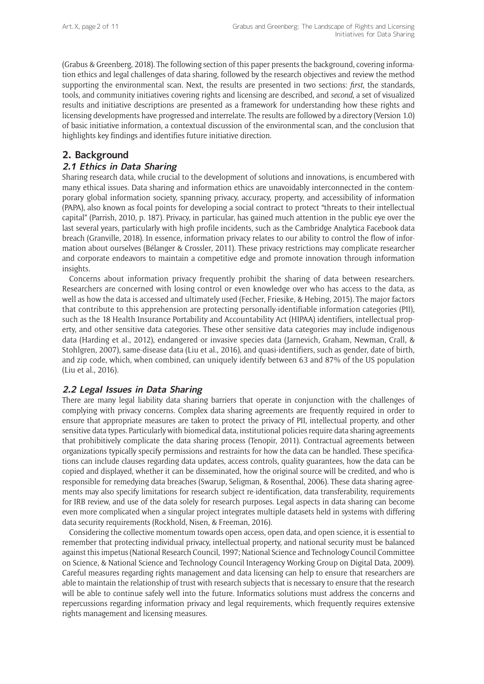(Grabus & Greenberg, 2018). The following section of this paper presents the background, covering information ethics and legal challenges of data sharing, followed by the research objectives and review the method supporting the environmental scan. Next, the results are presented in two sections: *first*, the standards, tools, and community initiatives covering rights and licensing are described, and *second*, a set of visualized results and initiative descriptions are presented as a framework for understanding how these rights and licensing developments have progressed and interrelate. The results are followed by a directory (Version 1.0) of basic initiative information, a contextual discussion of the environmental scan, and the conclusion that highlights key findings and identifies future initiative direction.

# **2. Background**

## **2.1 Ethics in Data Sharing**

Sharing research data, while crucial to the development of solutions and innovations, is encumbered with many ethical issues. Data sharing and information ethics are unavoidably interconnected in the contemporary global information society, spanning privacy, accuracy, property, and accessibility of information (PAPA), also known as focal points for developing a social contract to protect "threats to their intellectual capital" (Parrish, 2010, p. 187). Privacy, in particular, has gained much attention in the public eye over the last several years, particularly with high profile incidents, such as the Cambridge Analytica Facebook data breach (Granville, 2018). In essence, information privacy relates to our ability to control the flow of information about ourselves (Bélanger & Crossler, 2011). These privacy restrictions may complicate researcher and corporate endeavors to maintain a competitive edge and promote innovation through information insights.

Concerns about information privacy frequently prohibit the sharing of data between researchers. Researchers are concerned with losing control or even knowledge over who has access to the data, as well as how the data is accessed and ultimately used (Fecher, Friesike, & Hebing, 2015). The major factors that contribute to this apprehension are protecting personally-identifiable information categories (PII), such as the 18 Health Insurance Portability and Accountability Act (HIPAA) identifiers, intellectual property, and other sensitive data categories. These other sensitive data categories may include indigenous data (Harding et al., 2012), endangered or invasive species data (Jarnevich, Graham, Newman, Crall, & Stohlgren, 2007), same-disease data (Liu et al., 2016), and quasi-identifiers, such as gender, date of birth, and zip code, which, when combined, can uniquely identify between 63 and 87% of the US population (Liu et al., 2016).

# **2.2 Legal Issues in Data Sharing**

There are many legal liability data sharing barriers that operate in conjunction with the challenges of complying with privacy concerns. Complex data sharing agreements are frequently required in order to ensure that appropriate measures are taken to protect the privacy of PII, intellectual property, and other sensitive data types. Particularly with biomedical data, institutional policies require data sharing agreements that prohibitively complicate the data sharing process (Tenopir, 2011). Contractual agreements between organizations typically specify permissions and restraints for how the data can be handled. These specifications can include clauses regarding data updates, access controls, quality guarantees, how the data can be copied and displayed, whether it can be disseminated, how the original source will be credited, and who is responsible for remedying data breaches (Swarup, Seligman, & Rosenthal, 2006). These data sharing agreements may also specify limitations for research subject re-identification, data transferability, requirements for IRB review, and use of the data solely for research purposes. Legal aspects in data sharing can become even more complicated when a singular project integrates multiple datasets held in systems with differing data security requirements (Rockhold, Nisen, & Freeman, 2016).

Considering the collective momentum towards open access, open data, and open science, it is essential to remember that protecting individual privacy, intellectual property, and national security must be balanced against this impetus (National Research Council, 1997; National Science and Technology Council Committee on Science, & National Science and Technology Council Interagency Working Group on Digital Data, 2009). Careful measures regarding rights management and data licensing can help to ensure that researchers are able to maintain the relationship of trust with research subjects that is necessary to ensure that the research will be able to continue safely well into the future. Informatics solutions must address the concerns and repercussions regarding information privacy and legal requirements, which frequently requires extensive rights management and licensing measures.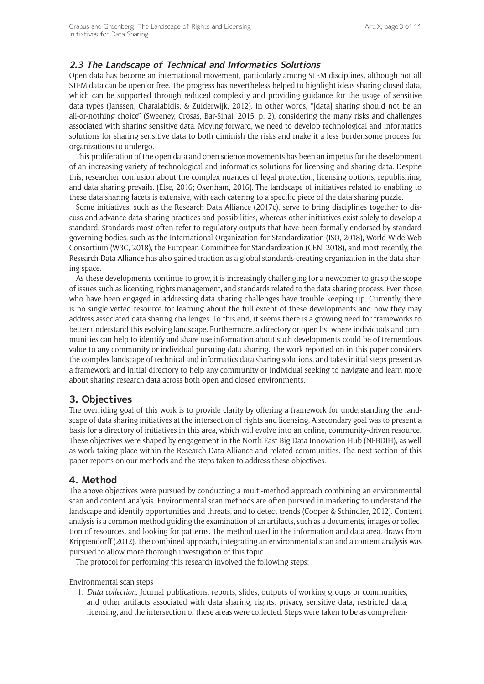# **2.3 The Landscape of Technical and Informatics Solutions**

Open data has become an international movement, particularly among STEM disciplines, although not all STEM data can be open or free. The progress has nevertheless helped to highlight ideas sharing closed data, which can be supported through reduced complexity and providing guidance for the usage of sensitive data types (Janssen, Charalabidis, & Zuiderwijk, 2012). In other words, "[data] sharing should not be an all-or-nothing choice" (Sweeney, Crosas, Bar-Sinai, 2015, p. 2), considering the many risks and challenges associated with sharing sensitive data. Moving forward, we need to develop technological and informatics solutions for sharing sensitive data to both diminish the risks and make it a less burdensome process for organizations to undergo.

This proliferation of the open data and open science movements has been an impetus for the development of an increasing variety of technological and informatics solutions for licensing and sharing data. Despite this, researcher confusion about the complex nuances of legal protection, licensing options, republishing, and data sharing prevails. (Else, 2016; Oxenham, 2016). The landscape of initiatives related to enabling to these data sharing facets is extensive, with each catering to a specific piece of the data sharing puzzle.

Some initiatives, such as the Research Data Alliance (2017c), serve to bring disciplines together to discuss and advance data sharing practices and possibilities, whereas other initiatives exist solely to develop a standard. Standards most often refer to regulatory outputs that have been formally endorsed by standard governing bodies, such as the International Organization for Standardization (ISO, 2018), World Wide Web Consortium (W3C, 2018), the European Committee for Standardization (CEN, 2018), and most recently, the Research Data Alliance has also gained traction as a global standards-creating organization in the data sharing space.

As these developments continue to grow, it is increasingly challenging for a newcomer to grasp the scope of issues such as licensing, rights management, and standards related to the data sharing process. Even those who have been engaged in addressing data sharing challenges have trouble keeping up. Currently, there is no single vetted resource for learning about the full extent of these developments and how they may address associated data sharing challenges. To this end, it seems there is a growing need for frameworks to better understand this evolving landscape. Furthermore, a directory or open list where individuals and communities can help to identify and share use information about such developments could be of tremendous value to any community or individual pursuing data sharing. The work reported on in this paper considers the complex landscape of technical and informatics data sharing solutions, and takes initial steps present as a framework and initial directory to help any community or individual seeking to navigate and learn more about sharing research data across both open and closed environments.

# **3. Objectives**

The overriding goal of this work is to provide clarity by offering a framework for understanding the landscape of data sharing initiatives at the intersection of rights and licensing. A secondary goal was to present a basis for a directory of initiatives in this area, which will evolve into an online, community-driven resource. These objectives were shaped by engagement in the North East Big Data Innovation Hub (NEBDIH), as well as work taking place within the Research Data Alliance and related communities. The next section of this paper reports on our methods and the steps taken to address these objectives.

# **4. Method**

The above objectives were pursued by conducting a multi-method approach combining an environmental scan and content analysis. Environmental scan methods are often pursued in marketing to understand the landscape and identify opportunities and threats, and to detect trends (Cooper & Schindler, 2012). Content analysis is a common method guiding the examination of an artifacts, such as a documents, images or collection of resources, and looking for patterns. The method used in the information and data area, draws from Krippendorff (2012). The combined approach, integrating an environmental scan and a content analysis was pursued to allow more thorough investigation of this topic.

The protocol for performing this research involved the following steps:

Environmental scan steps

1. *Data collection.* Journal publications, reports, slides, outputs of working groups or communities, and other artifacts associated with data sharing, rights, privacy, sensitive data, restricted data, licensing, and the intersection of these areas were collected. Steps were taken to be as comprehen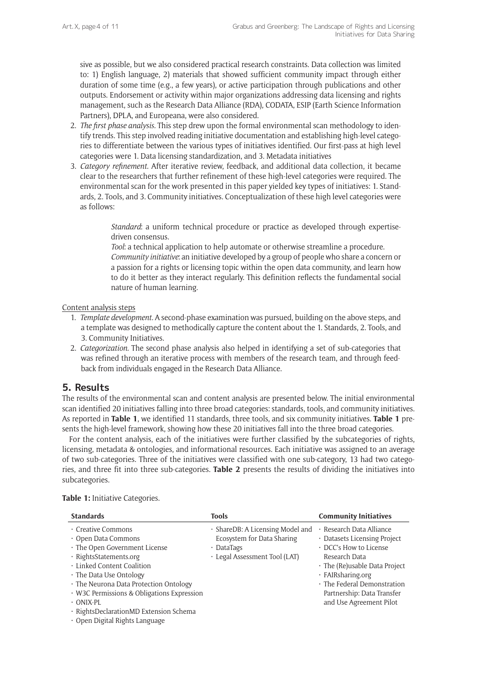sive as possible, but we also considered practical research constraints. Data collection was limited to: 1) English language, 2) materials that showed sufficient community impact through either duration of some time (e.g., a few years), or active participation through publications and other outputs. Endorsement or activity within major organizations addressing data licensing and rights management, such as the Research Data Alliance (RDA), CODATA, ESIP (Earth Science Information Partners), DPLA, and Europeana, were also considered.

- 2. *The first phase analysis.* This step drew upon the formal environmental scan methodology to identify trends. This step involved reading initiative documentation and establishing high-level categories to differentiate between the various types of initiatives identified. Our first-pass at high level categories were 1. Data licensing standardization, and 3. Metadata initiatives
- 3. *Category refinement.* After iterative review, feedback, and additional data collection, it became clear to the researchers that further refinement of these high-level categories were required. The environmental scan for the work presented in this paper yielded key types of initiatives: 1. Standards, 2. Tools, and 3. Community initiatives. Conceptualization of these high level categories were as follows:

*Standard*: a uniform technical procedure or practice as developed through expertisedriven consensus.

*Tool*: a technical application to help automate or otherwise streamline a procedure. *Community initiative*: an initiative developed by a group of people who share a concern or a passion for a rights or licensing topic within the open data community, and learn how to do it better as they interact regularly. This definition reflects the fundamental social nature of human learning.

#### Content analysis steps

- 1. *Template development.* A second-phase examination was pursued, building on the above steps, and a template was designed to methodically capture the content about the 1. Standards, 2. Tools, and 3. Community Initiatives.
- 2. *Categorization.* The second phase analysis also helped in identifying a set of sub-categories that was refined through an iterative process with members of the research team, and through feedback from individuals engaged in the Research Data Alliance.

## **5. Results**

The results of the environmental scan and content analysis are presented below. The initial environmental scan identified 20 initiatives falling into three broad categories: standards, tools, and community initiatives. As reported in **Table 1**, we identified 11 standards, three tools, and six community initiatives. **Table 1** presents the high-level framework, showing how these 20 initiatives fall into the three broad categories.

For the content analysis, each of the initiatives were further classified by the subcategories of rights, licensing, metadata & ontologies, and informational resources. Each initiative was assigned to an average of two sub-categories. Three of the initiatives were classified with one sub-category, 13 had two categories, and three fit into three sub-categories. **Table 2** presents the results of dividing the initiatives into subcategories.

| <b>Standards</b>                                                                                                                                                                                                                                                                                                                                     | <b>Tools</b>                                                                                                        | <b>Community Initiatives</b>                                                                                                                                                                                                                             |
|------------------------------------------------------------------------------------------------------------------------------------------------------------------------------------------------------------------------------------------------------------------------------------------------------------------------------------------------------|---------------------------------------------------------------------------------------------------------------------|----------------------------------------------------------------------------------------------------------------------------------------------------------------------------------------------------------------------------------------------------------|
| · Creative Commons<br>• Open Data Commons<br>· The Open Government License<br>· RightsStatements.org<br>. Linked Content Coalition<br>· The Data Use Ontology<br>· The Neurona Data Protection Ontology<br>· W3C Permissions & Obligations Expression<br>$\cdot$ ONIX-PL<br>· RightsDeclarationMD Extension Schema<br>· Open Digital Rights Language | · ShareDB: A Licensing Model and<br>Ecosystem for Data Sharing<br>$\cdot$ DataTags<br>· Legal Assessment Tool (LAT) | · Research Data Alliance<br>· Datasets Licensing Project<br>• DCC's How to License<br>Research Data<br>$\cdot$ The (Re) usable Data Project<br>· FAIRsharing.org<br>· The Federal Demonstration<br>Partnership: Data Transfer<br>and Use Agreement Pilot |

#### **Table 1:** Initiative Categories.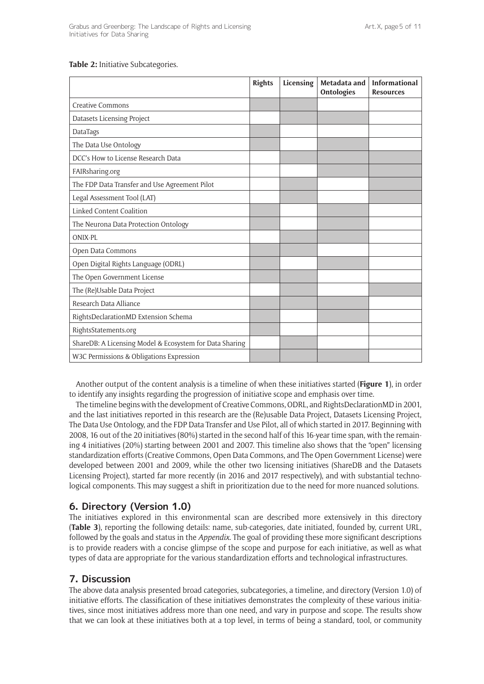#### **Table 2:** Initiative Subcategories.

|                                                         | <b>Rights</b> | Licensing | Metadata and<br><b>Ontologies</b> | <b>Informational</b><br><b>Resources</b> |
|---------------------------------------------------------|---------------|-----------|-----------------------------------|------------------------------------------|
| <b>Creative Commons</b>                                 |               |           |                                   |                                          |
| Datasets Licensing Project                              |               |           |                                   |                                          |
| DataTags                                                |               |           |                                   |                                          |
| The Data Use Ontology                                   |               |           |                                   |                                          |
| DCC's How to License Research Data                      |               |           |                                   |                                          |
| FAIRsharing.org                                         |               |           |                                   |                                          |
| The FDP Data Transfer and Use Agreement Pilot           |               |           |                                   |                                          |
| Legal Assessment Tool (LAT)                             |               |           |                                   |                                          |
| Linked Content Coalition                                |               |           |                                   |                                          |
| The Neurona Data Protection Ontology                    |               |           |                                   |                                          |
| ONIX-PL                                                 |               |           |                                   |                                          |
| Open Data Commons                                       |               |           |                                   |                                          |
| Open Digital Rights Language (ODRL)                     |               |           |                                   |                                          |
| The Open Government License                             |               |           |                                   |                                          |
| The (Re)Usable Data Project                             |               |           |                                   |                                          |
| Research Data Alliance                                  |               |           |                                   |                                          |
| RightsDeclarationMD Extension Schema                    |               |           |                                   |                                          |
| RightsStatements.org                                    |               |           |                                   |                                          |
| ShareDB: A Licensing Model & Ecosystem for Data Sharing |               |           |                                   |                                          |
| W3C Permissions & Obligations Expression                |               |           |                                   |                                          |

Another output of the content analysis is a timeline of when these initiatives started (**Figure 1**), in order to identify any insights regarding the progression of initiative scope and emphasis over time.

The timeline begins with the development of Creative Commons, ODRL, and RightsDeclarationMD in 2001, and the last initiatives reported in this research are the (Re)usable Data Project, Datasets Licensing Project, The Data Use Ontology, and the FDP Data Transfer and Use Pilot, all of which started in 2017. Beginning with 2008, 16 out of the 20 initiatives (80%) started in the second half of this 16-year time span, with the remaining 4 initiatives (20%) starting between 2001 and 2007. This timeline also shows that the "open" licensing standardization efforts (Creative Commons, Open Data Commons, and The Open Government License) were developed between 2001 and 2009, while the other two licensing initiatives (ShareDB and the Datasets Licensing Project), started far more recently (in 2016 and 2017 respectively), and with substantial technological components. This may suggest a shift in prioritization due to the need for more nuanced solutions.

# **6. Directory (Version 1.0)**

The initiatives explored in this environmental scan are described more extensively in this directory (**Table 3**), reporting the following details: name, sub-categories, date initiated, founded by, current URL, followed by the goals and status in the *Appendix*. The goal of providing these more significant descriptions is to provide readers with a concise glimpse of the scope and purpose for each initiative, as well as what types of data are appropriate for the various standardization efforts and technological infrastructures.

# **7. Discussion**

The above data analysis presented broad categories, subcategories, a timeline, and directory (Version 1.0) of initiative efforts. The classification of these initiatives demonstrates the complexity of these various initiatives, since most initiatives address more than one need, and vary in purpose and scope. The results show that we can look at these initiatives both at a top level, in terms of being a standard, tool, or community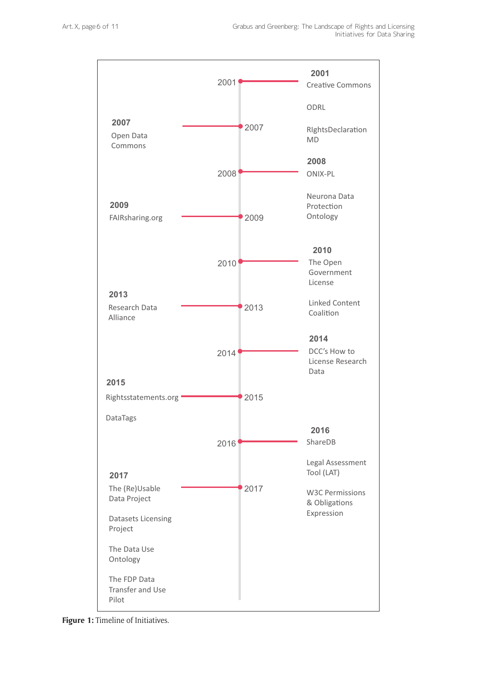

**Figure 1:** Timeline of Initiatives.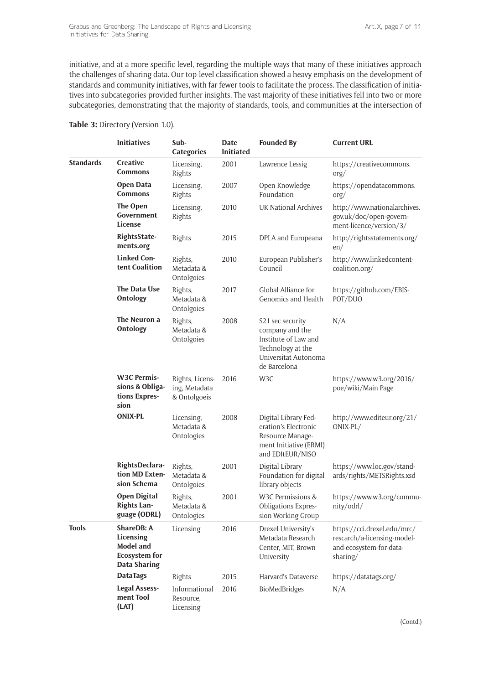initiative, and at a more specific level, regarding the multiple ways that many of these initiatives approach the challenges of sharing data. Our top-level classification showed a heavy emphasis on the development of standards and community initiatives, with far fewer tools to facilitate the process. The classification of initiatives into subcategories provided further insights. The vast majority of these initiatives fell into two or more subcategories, demonstrating that the majority of standards, tools, and communities at the intersection of

#### **Table 3:** Directory (Version 1.0).

|                  | <b>Initiatives</b>                                                                         | Sub-<br>Categories                               | <b>Date</b><br><b>Initiated</b> | <b>Founded By</b>                                                                                                        | <b>Current URL</b>                                                                                |
|------------------|--------------------------------------------------------------------------------------------|--------------------------------------------------|---------------------------------|--------------------------------------------------------------------------------------------------------------------------|---------------------------------------------------------------------------------------------------|
| <b>Standards</b> | Creative<br><b>Commons</b>                                                                 | Licensing,<br>Rights                             | 2001                            | Lawrence Lessig                                                                                                          | https://creativecommons.<br>$\text{org}/$                                                         |
|                  | <b>Open Data</b><br><b>Commons</b>                                                         | Licensing,<br>Rights                             | 2007                            | Open Knowledge<br>Foundation                                                                                             | https://opendatacommons.<br>$\text{org}/$                                                         |
|                  | The Open<br>Government<br>License                                                          | Licensing,<br>Rights                             | 2010                            | UK National Archives                                                                                                     | http://www.nationalarchives.<br>gov.uk/doc/open-govern-<br>ment-licence/version/3/                |
|                  | RightsState-<br>ments.org                                                                  | Rights                                           | 2015                            | DPLA and Europeana                                                                                                       | http://rightsstatements.org/<br>en/                                                               |
|                  | <b>Linked Con-</b><br>tent Coalition                                                       | Rights,<br>Metadata &<br>Ontolgoies              | 2010                            | European Publisher's<br>Council                                                                                          | http://www.linkedcontent-<br>coalition.org/                                                       |
|                  | The Data Use<br><b>Ontology</b>                                                            | Rights,<br>Metadata &<br>Ontolgoies              | 2017                            | Global Alliance for<br>Genomics and Health                                                                               | https://github.com/EBIS-<br>POT/DUO                                                               |
|                  | The Neuron a<br>Ontology                                                                   | Rights,<br>Metadata &<br>Ontolgoies              | 2008                            | S21 sec security<br>company and the<br>Institute of Law and<br>Technology at the<br>Universitat Autonoma<br>de Barcelona | N/A                                                                                               |
|                  | <b>W3C Permis-</b><br>sions & Obliga-<br>tions Expres-<br>sion                             | Rights, Licens-<br>ing, Metadata<br>& Ontolgoeis | 2016                            | W3C                                                                                                                      | https://www.w3.org/2016/<br>poe/wiki/Main Page                                                    |
|                  | <b>ONIX-PL</b>                                                                             | Licensing,<br>Metadata &<br>Ontologies           | 2008                            | Digital Library Fed-<br>eration's Electronic<br>Resource Manage-<br>ment Initiative (ERMI)<br>and EDItEUR/NISO           | http://www.editeur.org/21/<br>ONIX-PL/                                                            |
|                  | RightsDeclara-<br>tion MD Exten-<br>sion Schema                                            | Rights,<br>Metadata &<br>Ontolgoies              | 2001                            | Digital Library<br>Foundation for digital<br>library objects                                                             | https://www.loc.gov/stand-<br>ards/rights/METSRights.xsd                                          |
|                  | <b>Open Digital</b><br>Rights Lan-<br>guage (ODRL)                                         | Rights,<br>Metadata &<br>Ontologies              | 2001                            | W3C Permissions &<br>Obligations Expres-<br>sion Working Group                                                           | https://www.w3.org/commu-<br>nity/odrl/                                                           |
| <b>Tools</b>     | ShareDB: A<br>Licensing<br><b>Model and</b><br><b>Ecosystem for</b><br><b>Data Sharing</b> | Licensing                                        | 2016                            | Drexel University's<br>Metadata Research<br>Center, MIT, Brown<br>University                                             | https://cci.drexel.edu/mrc/<br>rescarch/a-licensing-model-<br>and-ecosystem-for-data-<br>sharing/ |
|                  | <b>DataTags</b>                                                                            | Rights                                           | 2015                            | Harvard's Dataverse                                                                                                      | https://datatags.org/                                                                             |
|                  | <b>Legal Assess-</b><br>ment Tool<br>(LAT)                                                 | Informational<br>Resource,<br>Licensing          | 2016                            | BioMedBridges                                                                                                            | N/A                                                                                               |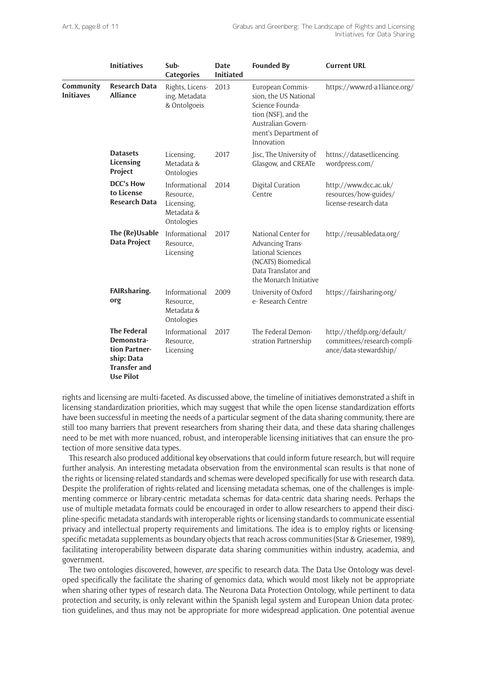|                               | <b>Initiatives</b>                                                                                         | Sub-<br>Categories                                                   | <b>Date</b><br><b>Initiated</b> | <b>Founded By</b>                                                                                                                               | <b>Current URL</b>                                                                  |
|-------------------------------|------------------------------------------------------------------------------------------------------------|----------------------------------------------------------------------|---------------------------------|-------------------------------------------------------------------------------------------------------------------------------------------------|-------------------------------------------------------------------------------------|
| Community<br><b>Initiaves</b> | <b>Research Data</b><br><b>Alliance</b>                                                                    | Rights, Licens-<br>ing, Metadata<br>& Ontolgoeis                     | 2013                            | European Commis-<br>sion, the US National<br>Science Founda-<br>tion (NSF), and the<br>Australian Govern-<br>ment's Department of<br>Innovation | https://www.rd-a1liance.org/                                                        |
|                               | <b>Datasets</b><br>Licensing<br>Project                                                                    | Licensing,<br>Metadata &<br>Ontologies                               | 2017                            | Jisc, The University of<br>Glasgow, and CREATe                                                                                                  | httns://datasetlicencing.<br>wordpress.com/                                         |
|                               | <b>DCC's How</b><br>to License<br><b>Research Data</b>                                                     | Informational<br>Resource.<br>Licensing,<br>Metadata &<br>Ontologies | 2014                            | Digital Curation<br>Centre                                                                                                                      | http://www.dcc.ac.uk/<br>resources/how-guides/<br>license-research-data             |
|                               | The (Re)Usable<br>Data Project                                                                             | Informational<br>Resource.<br>Licensing                              | 2017                            | National Center for<br>Advancing Trans-<br>lational Sciences<br>(NCATS) Biomedical<br>Data Translator and<br>the Monarch Initiative             | http://reusabledata.org/                                                            |
|                               | FAIRsharing.<br>org                                                                                        | Informational<br>Resource.<br>Metadata &<br>Ontologies               | 2009                            | University of Oxford<br>e-Research Centre                                                                                                       | https://fairsharing.org/                                                            |
|                               | <b>The Federal</b><br>Demonstra-<br>tion Partner-<br>ship: Data<br><b>Transfer and</b><br><b>Use Pilot</b> | Informational<br>Resource.<br>Licensing                              | 2017                            | The Federal Demon-<br>stration Partnership                                                                                                      | http://thefdp.org/default/<br>committees/research-compli-<br>ance/data-stewardship/ |

rights and licensing are multi-faceted. As discussed above, the timeline of initiatives demonstrated a shift in licensing standardization priorities, which may suggest that while the open license standardization efforts have been successful in meeting the needs of a particular segment of the data sharing community, there are still too many barriers that prevent researchers from sharing their data, and these data sharing challenges need to be met with more nuanced, robust, and interoperable licensing initiatives that can ensure the protection of more sensitive data types.

This research also produced additional key observations that could inform future research, but will require further analysis. An interesting metadata observation from the environmental scan results is that none of the rights or licensing-related standards and schemas were developed specifically for use with research data. Despite the proliferation of rights-related and licensing metadata schemas, one of the challenges is implementing commerce or library-centric metadata schemas for data-centric data sharing needs. Perhaps the use of multiple metadata formats could be encouraged in order to allow researchers to append their discipline-specific metadata standards with interoperable rights or licensing standards to communicate essential privacy and intellectual property requirements and limitations. The idea is to employ rights or licensingspecific metadata supplements as boundary objects that reach across communities (Star & Griesemer, 1989), facilitating interoperability between disparate data sharing communities within industry, academia, and government.

The two ontologies discovered, however, *are* specific to research data. The Data Use Ontology was developed specifically the facilitate the sharing of genomics data, which would most likely not be appropriate when sharing other types of research data. The Neurona Data Protection Ontology, while pertinent to data protection and security, is only relevant within the Spanish legal system and European Union data protection guidelines, and thus may not be appropriate for more widespread application. One potential avenue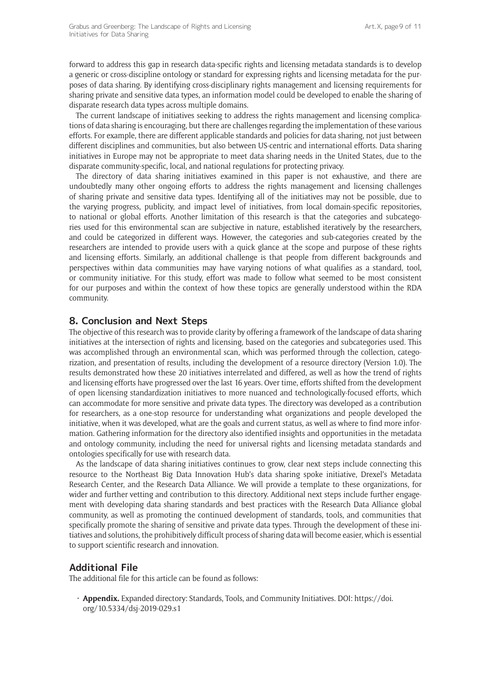forward to address this gap in research data-specific rights and licensing metadata standards is to develop a generic or cross-discipline ontology or standard for expressing rights and licensing metadata for the purposes of data sharing. By identifying cross-disciplinary rights management and licensing requirements for sharing private and sensitive data types, an information model could be developed to enable the sharing of disparate research data types across multiple domains.

The current landscape of initiatives seeking to address the rights management and licensing complications of data sharing is encouraging, but there are challenges regarding the implementation of these various efforts. For example, there are different applicable standards and policies for data sharing, not just between different disciplines and communities, but also between US-centric and international efforts. Data sharing initiatives in Europe may not be appropriate to meet data sharing needs in the United States, due to the disparate community-specific, local, and national regulations for protecting privacy.

The directory of data sharing initiatives examined in this paper is not exhaustive, and there are undoubtedly many other ongoing efforts to address the rights management and licensing challenges of sharing private and sensitive data types. Identifying all of the initiatives may not be possible, due to the varying progress, publicity, and impact level of initiatives, from local domain-specific repositories, to national or global efforts. Another limitation of this research is that the categories and subcategories used for this environmental scan are subjective in nature, established iteratively by the researchers, and could be categorized in different ways. However, the categories and sub-categories created by the researchers are intended to provide users with a quick glance at the scope and purpose of these rights and licensing efforts. Similarly, an additional challenge is that people from different backgrounds and perspectives within data communities may have varying notions of what qualifies as a standard, tool, or community initiative. For this study, effort was made to follow what seemed to be most consistent for our purposes and within the context of how these topics are generally understood within the RDA community.

# **8. Conclusion and Next Steps**

The objective of this research was to provide clarity by offering a framework of the landscape of data sharing initiatives at the intersection of rights and licensing, based on the categories and subcategories used. This was accomplished through an environmental scan, which was performed through the collection, categorization, and presentation of results, including the development of a resource directory (Version 1.0). The results demonstrated how these 20 initiatives interrelated and differed, as well as how the trend of rights and licensing efforts have progressed over the last 16 years. Over time, efforts shifted from the development of open licensing standardization initiatives to more nuanced and technologically-focused efforts, which can accommodate for more sensitive and private data types. The directory was developed as a contribution for researchers, as a one-stop resource for understanding what organizations and people developed the initiative, when it was developed, what are the goals and current status, as well as where to find more information. Gathering information for the directory also identified insights and opportunities in the metadata and ontology community, including the need for universal rights and licensing metadata standards and ontologies specifically for use with research data.

As the landscape of data sharing initiatives continues to grow, clear next steps include connecting this resource to the Northeast Big Data Innovation Hub's data sharing spoke initiative, Drexel's Metadata Research Center, and the Research Data Alliance. We will provide a template to these organizations, for wider and further vetting and contribution to this directory. Additional next steps include further engagement with developing data sharing standards and best practices with the Research Data Alliance global community, as well as promoting the continued development of standards, tools, and communities that specifically promote the sharing of sensitive and private data types. Through the development of these initiatives and solutions, the prohibitively difficult process of sharing data will become easier, which is essential to support scientific research and innovation.

# **Additional File**

The additional file for this article can be found as follows:

• **Appendix.** Expanded directory: Standards, Tools, and Community Initiatives. DOI: [https://doi.](https://doi.org/10.5334/dsj-2019-029.s1) [org/10.5334/dsj-2019-029.s1](https://doi.org/10.5334/dsj-2019-029.s1)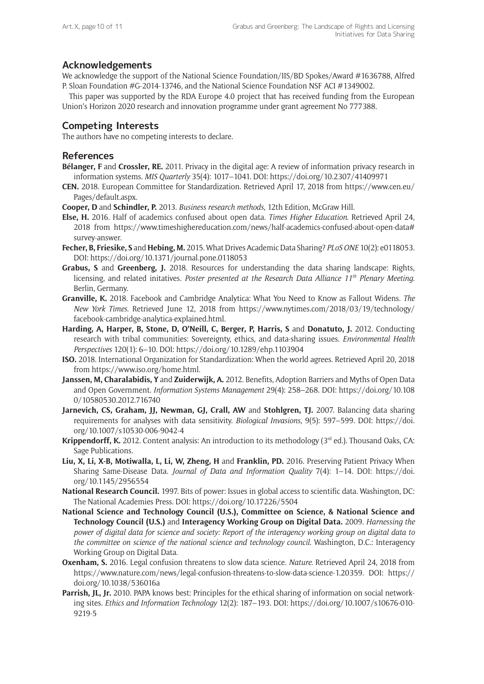# **Acknowledgements**

We acknowledge the support of the National Science Foundation/IIS/BD Spokes/Award #1636788, Alfred P. Sloan Foundation #G-2014-13746, and the National Science Foundation NSF ACI #1349002.

This paper was supported by the RDA Europe 4.0 project that has received funding from the European Union's Horizon 2020 research and innovation programme under grant agreement No 777388.

# **Competing Interests**

The authors have no competing interests to declare.

## **References**

- **Bélanger, F** and **Crossler, RE.** 2011. Privacy in the digital age: A review of information privacy research in information systems. *MIS Quarterly* 35(4): 1017–1041. DOI:<https://doi.org/10.2307/41409971>
- **CEN.** 2018. European Committee for Standardization. Retrieved April 17, 2018 from [https://www.cen.eu/](https://www.cen.eu/Pages/default.aspx) [Pages/default.aspx](https://www.cen.eu/Pages/default.aspx).

**Cooper, D** and **Schindler, P.** 2013. *Business research methods*, 12th Edition, McGraw Hill.

- **Else, H.** 2016. Half of academics confused about open data. *Times Higher Education*. Retrieved April 24, 2018 from [https://www.timeshighereducation.com/news/half-academics-confused-about-open-data#](https://www.timeshighereducation.com/news/half-academics-confused-about-open-data#survey-answer) [survey-answer.](https://www.timeshighereducation.com/news/half-academics-confused-about-open-data#survey-answer)
- **Fecher, B, Friesike, S** and **Hebing, M.** 2015. What Drives Academic Data Sharing? *PLoS ONE* 10(2): e0118053. DOI:<https://doi.org/10.1371/journal.pone.0118053>
- **Grabus, S** and **Greenberg, J.** 2018. Resources for understanding the data sharing landscape: Rights, licensing, and related initatives. *Poster presented at the Research Data Alliance 11th Plenary Meeting*. Berlin, Germany.
- **Granville, K.** 2018. Facebook and Cambridge Analytica: What You Need to Know as Fallout Widens. *The New York Times*. Retrieved June 12, 2018 from [https://www.nytimes.com/2018/03/19/technology/](https://www.nytimes.com/2018/03/19/technology/facebook-cambridge-analytica-explained.html) [facebook-cambridge-analytica-explained.html.](https://www.nytimes.com/2018/03/19/technology/facebook-cambridge-analytica-explained.html)
- **Harding, A, Harper, B, Stone, D, O'Neill, C, Berger, P, Harris, S** and **Donatuto, J.** 2012. Conducting research with tribal communities: Sovereignty, ethics, and data-sharing issues. *Environmental Health Perspectives* 120(1): 6–10. DOI: <https://doi.org/10.1289/ehp.1103904>
- **ISO.** 2018. International Organization for Standardization: When the world agrees. Retrieved April 20, 2018 from [https://www.iso.org/home.html.](https://www.iso.org/home.html)
- **Janssen, M, Charalabidis, Y** and **Zuiderwijk, A.** 2012. Benefits, Adoption Barriers and Myths of Open Data and Open Government. *Information Systems Management* 29(4): 258–268. DOI: [https://doi.org/10.108](https://doi.org/10.1080/10580530.2012.716740) [0/10580530.2012.716740](https://doi.org/10.1080/10580530.2012.716740)
- **Jarnevich, CS, Graham, JJ, Newman, GJ, Crall, AW** and **Stohlgren, TJ.** 2007. Balancing data sharing requirements for analyses with data sensitivity. *Biological Invasions*, 9(5): 597–599. DOI: [https://doi.](https://doi.org/10.1007/s10530-006-9042-4) [org/10.1007/s10530-006-9042-4](https://doi.org/10.1007/s10530-006-9042-4)
- **Krippendorff, K.** 2012. Content analysis: An introduction to its methodology (3<sup>rd</sup> ed.). Thousand Oaks, CA: Sage Publications.
- **Liu, X, Li, X-B, Motiwalla, L, Li, W, Zheng, H** and **Franklin, PD.** 2016. Preserving Patient Privacy When Sharing Same-Disease Data. *Journal of Data and Information Quality* 7(4): 1–14. DOI: [https://doi.](https://doi.org/10.1145/2956554) [org/10.1145/2956554](https://doi.org/10.1145/2956554)
- **National Research Council.** 1997. Bits of power: Issues in global access to scientific data. Washington, DC: The National Academies Press. DOI: <https://doi.org/10.17226/5504>
- **National Science and Technology Council (U.S.), Committee on Science, & National Science and Technology Council (U.S.)** and **Interagency Working Group on Digital Data.** 2009. *Harnessing the power of digital data for science and society: Report of the interagency working group on digital data to the committee on science of the national science and technology council*. Washington, D.C.: Interagency Working Group on Digital Data.
- **Oxenham, S.** 2016. Legal confusion threatens to slow data science. *Nature*. Retrieved April 24, 2018 from [https://www.nature.com/news/legal-confusion-threatens-to-slow-data-science-1.20359.](https://www.nature.com/news/legal-confusion-threatens-to-slow-data-science-1.20359) DOI: [https://](https://doi.org/10.1038/536016a) [doi.org/10.1038/536016a](https://doi.org/10.1038/536016a)
- **Parrish, JL, Jr.** 2010. PAPA knows best: Principles for the ethical sharing of information on social networking sites. *Ethics and Information Technology* 12(2): 187–193. DOI: [https://doi.org/10.1007/s10676-010-](https://doi.org/10.1007/s10676-010-9219-5) [9219-5](https://doi.org/10.1007/s10676-010-9219-5)